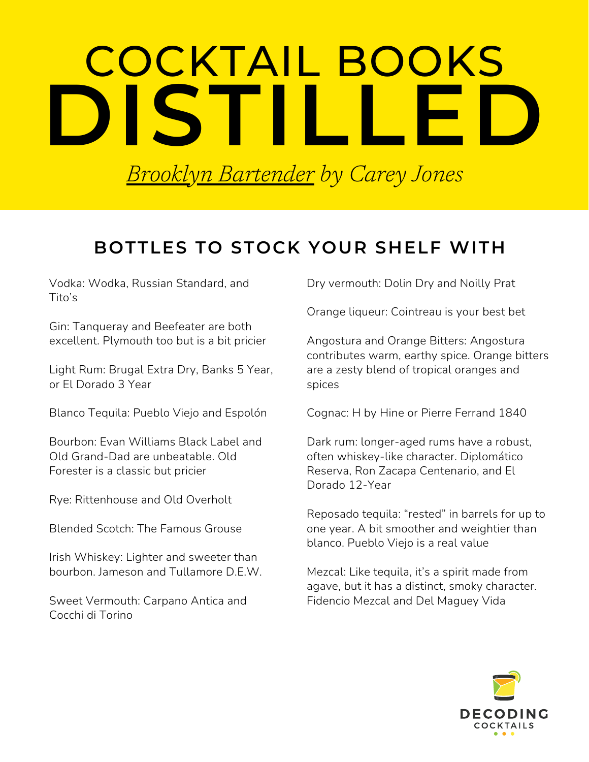## COCKTAIL BOOKS **DISTILLED**

*Brooklyn [Bartender](https://www.amazon.com/Brooklyn-Bartender-Modern-Cocktails-Spirits/dp/0316390259) by Carey Jones*

## **BOTTLES TO STOCK YOUR SHELF WITH**

Vodka: Wodka, Russian Standard, and Tito's

Gin: Tanqueray and Beefeater are both excellent. Plymouth too but is a bit pricier

Light Rum: Brugal Extra Dry, Banks 5 Year, or El Dorado 3 Year

Blanco Tequila: Pueblo Viejo and Espolón

Bourbon: Evan Williams Black Label and Old Grand-Dad are unbeatable. Old Forester is a classic but pricier

Rye: Rittenhouse and Old Overholt

Blended Scotch: The Famous Grouse

Irish Whiskey: Lighter and sweeter than bourbon. Jameson and Tullamore D.E.W.

Sweet Vermouth: Carpano Antica and Cocchi di Torino

Dry vermouth: Dolin Dry and Noilly Prat

Orange liqueur: Cointreau is your best bet

Angostura and Orange Bitters: Angostura contributes warm, earthy spice. Orange bitters are a zesty blend of tropical oranges and spices

Cognac: H by Hine or Pierre Ferrand 1840

Dark rum: longer-aged rums have a robust, often whiskey-like character. Diplomático Reserva, Ron Zacapa Centenario, and El Dorado 12-Year

Reposado tequila: "rested" in barrels for up to one year. A bit smoother and weightier than blanco. Pueblo Viejo is a real value

Mezcal: Like tequila, it's a spirit made from agave, but it has a distinct, smoky character. Fidencio Mezcal and Del Maguey Vida